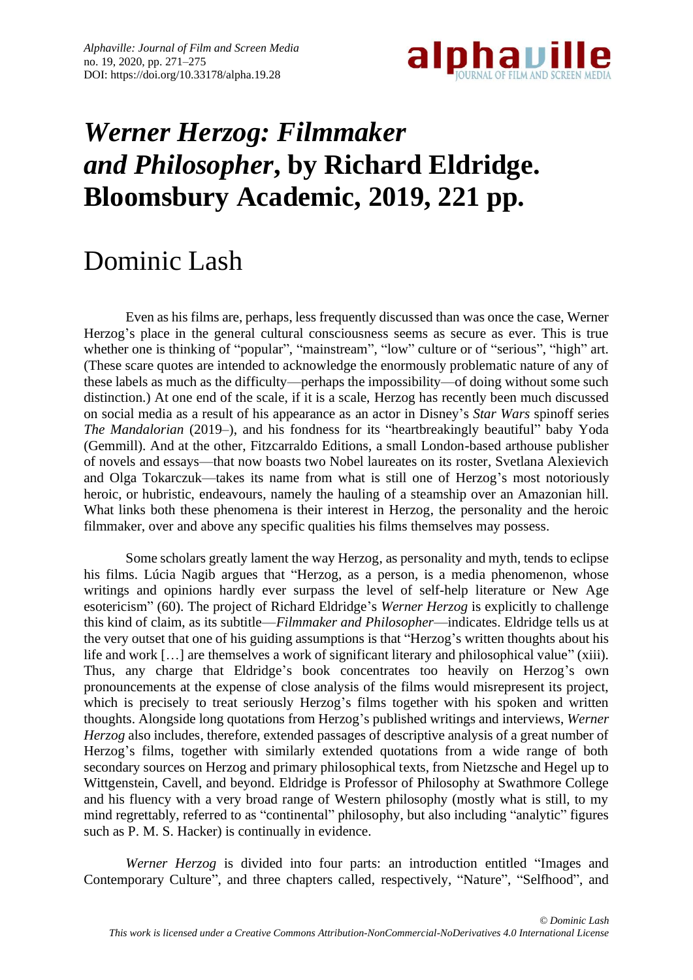

## *Werner Herzog: Filmmaker and Philosopher***, by Richard Eldridge. Bloomsbury Academic, 2019, 221 pp.**

## Dominic Lash

Even as his films are, perhaps, less frequently discussed than was once the case, Werner Herzog's place in the general cultural consciousness seems as secure as ever. This is true whether one is thinking of "popular", "mainstream", "low" culture or of "serious", "high" art. (These scare quotes are intended to acknowledge the enormously problematic nature of any of these labels as much as the difficulty—perhaps the impossibility—of doing without some such distinction.) At one end of the scale, if it is a scale, Herzog has recently been much discussed on social media as a result of his appearance as an actor in Disney's *Star Wars* spinoff series *The Mandalorian* (2019–), and his fondness for its "heartbreakingly beautiful" baby Yoda (Gemmill). And at the other, Fitzcarraldo Editions, a small London-based arthouse publisher of novels and essays—that now boasts two Nobel laureates on its roster, Svetlana Alexievich and Olga Tokarczuk—takes its name from what is still one of Herzog's most notoriously heroic, or hubristic, endeavours, namely the hauling of a steamship over an Amazonian hill. What links both these phenomena is their interest in Herzog, the personality and the heroic filmmaker, over and above any specific qualities his films themselves may possess.

Some scholars greatly lament the way Herzog, as personality and myth, tends to eclipse his films. Lúcia Nagib argues that "Herzog, as a person, is a media phenomenon, whose writings and opinions hardly ever surpass the level of self-help literature or New Age esotericism" (60). The project of Richard Eldridge's *Werner Herzog* is explicitly to challenge this kind of claim, as its subtitle—*Filmmaker and Philosopher*—indicates. Eldridge tells us at the very outset that one of his guiding assumptions is that "Herzog's written thoughts about his life and work [...] are themselves a work of significant literary and philosophical value" (xiii). Thus, any charge that Eldridge's book concentrates too heavily on Herzog's own pronouncements at the expense of close analysis of the films would misrepresent its project, which is precisely to treat seriously Herzog's films together with his spoken and written thoughts. Alongside long quotations from Herzog's published writings and interviews, *Werner Herzog* also includes, therefore, extended passages of descriptive analysis of a great number of Herzog's films, together with similarly extended quotations from a wide range of both secondary sources on Herzog and primary philosophical texts, from Nietzsche and Hegel up to Wittgenstein, Cavell, and beyond. Eldridge is Professor of Philosophy at Swathmore College and his fluency with a very broad range of Western philosophy (mostly what is still, to my mind regrettably, referred to as "continental" philosophy, but also including "analytic" figures such as P. M. S. Hacker) is continually in evidence.

*Werner Herzog* is divided into four parts: an introduction entitled "Images and Contemporary Culture", and three chapters called, respectively, "Nature", "Selfhood", and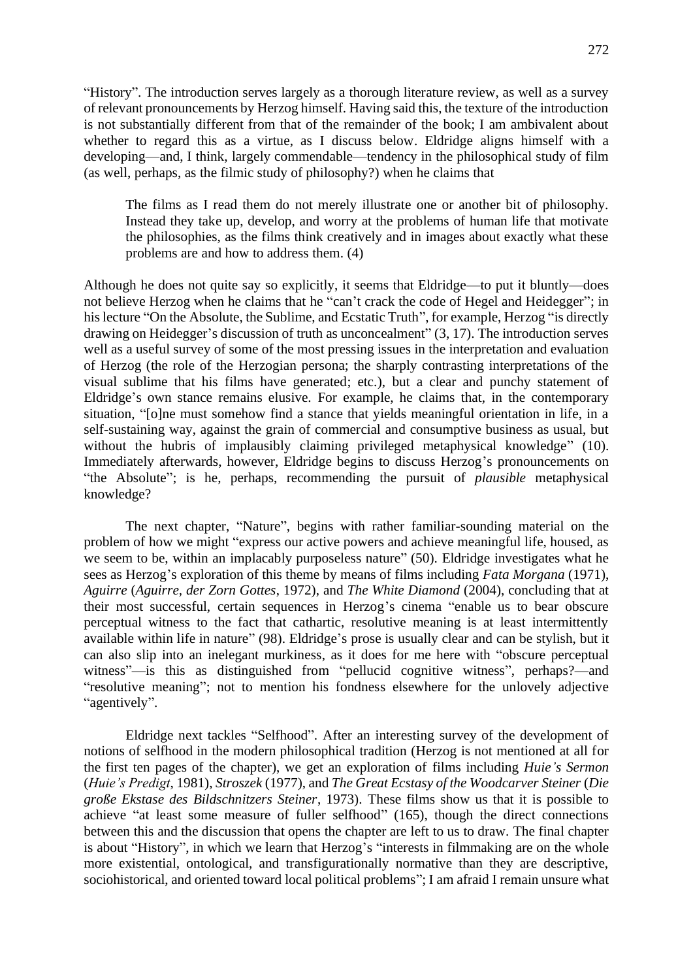"History". The introduction serves largely as a thorough literature review, as well as a survey of relevant pronouncements by Herzog himself. Having said this, the texture of the introduction is not substantially different from that of the remainder of the book; I am ambivalent about whether to regard this as a virtue, as I discuss below. Eldridge aligns himself with a developing—and, I think, largely commendable—tendency in the philosophical study of film (as well, perhaps, as the filmic study of philosophy?) when he claims that

The films as I read them do not merely illustrate one or another bit of philosophy. Instead they take up, develop, and worry at the problems of human life that motivate the philosophies, as the films think creatively and in images about exactly what these problems are and how to address them. (4)

Although he does not quite say so explicitly, it seems that Eldridge—to put it bluntly—does not believe Herzog when he claims that he "can't crack the code of Hegel and Heidegger"; in his lecture "On the Absolute, the Sublime, and Ecstatic Truth", for example, Herzog "is directly drawing on Heidegger's discussion of truth as unconcealment" (3, 17). The introduction serves well as a useful survey of some of the most pressing issues in the interpretation and evaluation of Herzog (the role of the Herzogian persona; the sharply contrasting interpretations of the visual sublime that his films have generated; etc.), but a clear and punchy statement of Eldridge's own stance remains elusive. For example, he claims that, in the contemporary situation, "[o]ne must somehow find a stance that yields meaningful orientation in life, in a self-sustaining way, against the grain of commercial and consumptive business as usual, but without the hubris of implausibly claiming privileged metaphysical knowledge" (10). Immediately afterwards, however, Eldridge begins to discuss Herzog's pronouncements on "the Absolute"; is he, perhaps, recommending the pursuit of *plausible* metaphysical knowledge?

The next chapter, "Nature", begins with rather familiar-sounding material on the problem of how we might "express our active powers and achieve meaningful life, housed, as we seem to be, within an implacably purposeless nature" (50). Eldridge investigates what he sees as Herzog's exploration of this theme by means of films including *Fata Morgana* (1971), *Aguirre* (*Aguirre, der Zorn Gottes*, 1972), and *The White Diamond* (2004), concluding that at their most successful, certain sequences in Herzog's cinema "enable us to bear obscure perceptual witness to the fact that cathartic, resolutive meaning is at least intermittently available within life in nature" (98). Eldridge's prose is usually clear and can be stylish, but it can also slip into an inelegant murkiness, as it does for me here with "obscure perceptual witness"—is this as distinguished from "pellucid cognitive witness", perhaps?—and "resolutive meaning"; not to mention his fondness elsewhere for the unlovely adjective "agentively".

Eldridge next tackles "Selfhood". After an interesting survey of the development of notions of selfhood in the modern philosophical tradition (Herzog is not mentioned at all for the first ten pages of the chapter), we get an exploration of films including *Huie's Sermon* (*Huie's Predigt*, 1981), *Stroszek* (1977), and *The Great Ecstasy of the Woodcarver Steiner* (*Die große Ekstase des Bildschnitzers Steiner*, 1973). These films show us that it is possible to achieve "at least some measure of fuller selfhood" (165), though the direct connections between this and the discussion that opens the chapter are left to us to draw. The final chapter is about "History", in which we learn that Herzog's "interests in filmmaking are on the whole more existential, ontological, and transfigurationally normative than they are descriptive, sociohistorical, and oriented toward local political problems"; I am afraid I remain unsure what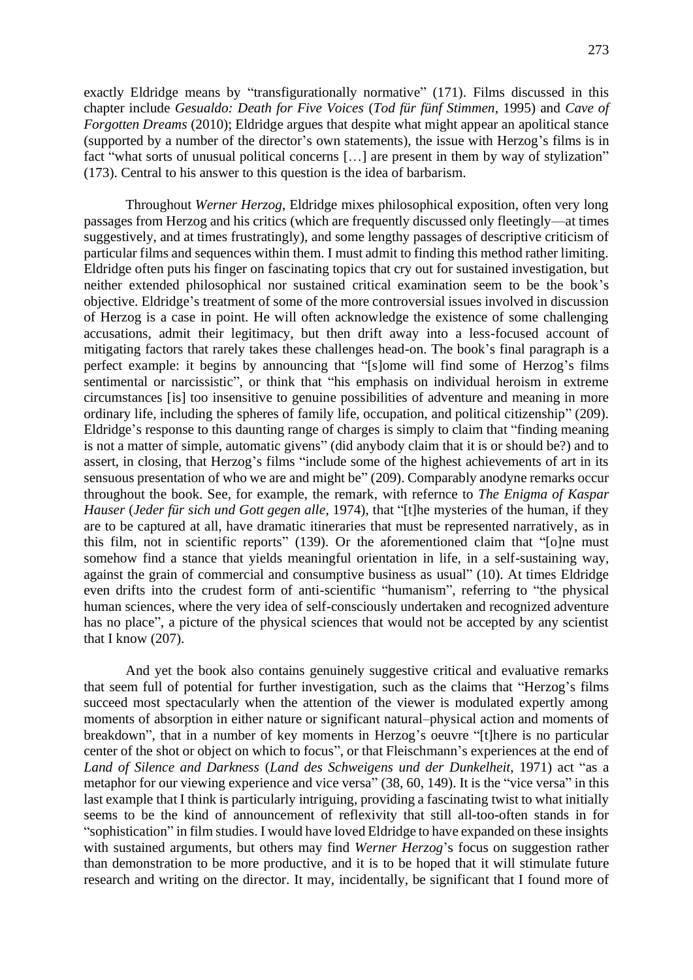exactly Eldridge means by "transfigurationally normative" (171). Films discussed in this chapter include *Gesualdo: Death for Five Voices* (*Tod für fünf Stimmen*, 1995) and *Cave of Forgotten Dreams* (2010); Eldridge argues that despite what might appear an apolitical stance (supported by a number of the director's own statements), the issue with Herzog's films is in fact "what sorts of unusual political concerns […] are present in them by way of stylization" (173). Central to his answer to this question is the idea of barbarism.

Throughout *Werner Herzog*, Eldridge mixes philosophical exposition, often very long passages from Herzog and his critics (which are frequently discussed only fleetingly—at times suggestively, and at times frustratingly), and some lengthy passages of descriptive criticism of particular films and sequences within them. I must admit to finding this method rather limiting. Eldridge often puts his finger on fascinating topics that cry out for sustained investigation, but neither extended philosophical nor sustained critical examination seem to be the book's objective. Eldridge's treatment of some of the more controversial issues involved in discussion of Herzog is a case in point. He will often acknowledge the existence of some challenging accusations, admit their legitimacy, but then drift away into a less-focused account of mitigating factors that rarely takes these challenges head-on. The book's final paragraph is a perfect example: it begins by announcing that "[s]ome will find some of Herzog's films sentimental or narcissistic", or think that "his emphasis on individual heroism in extreme circumstances [is] too insensitive to genuine possibilities of adventure and meaning in more ordinary life, including the spheres of family life, occupation, and political citizenship" (209). Eldridge's response to this daunting range of charges is simply to claim that "finding meaning is not a matter of simple, automatic givens" (did anybody claim that it is or should be?) and to assert, in closing, that Herzog's films "include some of the highest achievements of art in its sensuous presentation of who we are and might be" (209). Comparably anodyne remarks occur throughout the book. See, for example, the remark, with refernce to *The Enigma of Kaspar Hauser* (*Jeder für sich und Gott gegen alle*, 1974), that "[t]he mysteries of the human, if they are to be captured at all, have dramatic itineraries that must be represented narratively, as in this film, not in scientific reports" (139). Or the aforementioned claim that "[o]ne must somehow find a stance that yields meaningful orientation in life, in a self-sustaining way, against the grain of commercial and consumptive business as usual" (10). At times Eldridge even drifts into the crudest form of anti-scientific "humanism", referring to "the physical human sciences, where the very idea of self-consciously undertaken and recognized adventure has no place", a picture of the physical sciences that would not be accepted by any scientist that I know (207).

And yet the book also contains genuinely suggestive critical and evaluative remarks that seem full of potential for further investigation, such as the claims that "Herzog's films succeed most spectacularly when the attention of the viewer is modulated expertly among moments of absorption in either nature or significant natural–physical action and moments of breakdown", that in a number of key moments in Herzog's oeuvre "[t]here is no particular center of the shot or object on which to focus", or that Fleischmann's experiences at the end of *Land of Silence and Darkness* (*Land des Schweigens und der Dunkelheit*, 1971) act "as a metaphor for our viewing experience and vice versa" (38, 60, 149). It is the "vice versa" in this last example that I think is particularly intriguing, providing a fascinating twist to what initially seems to be the kind of announcement of reflexivity that still all-too-often stands in for "sophistication" in film studies. I would have loved Eldridge to have expanded on these insights with sustained arguments, but others may find *Werner Herzog*'s focus on suggestion rather than demonstration to be more productive, and it is to be hoped that it will stimulate future research and writing on the director. It may, incidentally, be significant that I found more of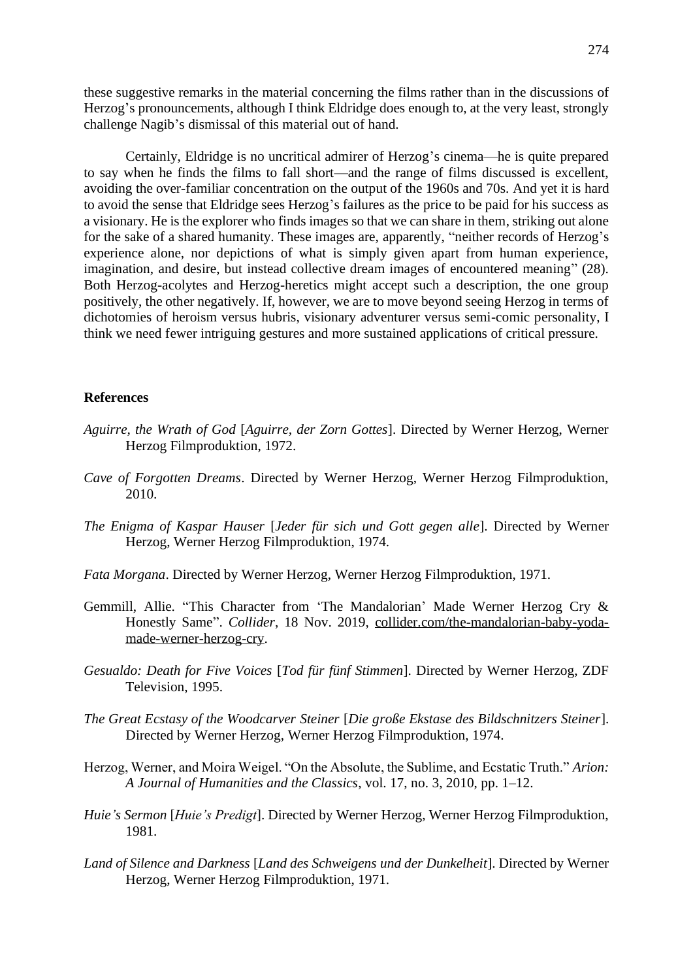these suggestive remarks in the material concerning the films rather than in the discussions of Herzog's pronouncements, although I think Eldridge does enough to, at the very least, strongly challenge Nagib's dismissal of this material out of hand.

Certainly, Eldridge is no uncritical admirer of Herzog's cinema—he is quite prepared to say when he finds the films to fall short—and the range of films discussed is excellent, avoiding the over-familiar concentration on the output of the 1960s and 70s. And yet it is hard to avoid the sense that Eldridge sees Herzog's failures as the price to be paid for his success as a visionary. He is the explorer who finds images so that we can share in them, striking out alone for the sake of a shared humanity. These images are, apparently, "neither records of Herzog's experience alone, nor depictions of what is simply given apart from human experience, imagination, and desire, but instead collective dream images of encountered meaning" (28). Both Herzog-acolytes and Herzog-heretics might accept such a description, the one group positively, the other negatively. If, however, we are to move beyond seeing Herzog in terms of dichotomies of heroism versus hubris, visionary adventurer versus semi-comic personality, I think we need fewer intriguing gestures and more sustained applications of critical pressure.

## **References**

- *Aguirre, the Wrath of God* [*Aguirre, der Zorn Gottes*]. Directed by Werner Herzog, Werner Herzog Filmproduktion, 1972.
- *Cave of Forgotten Dreams*. Directed by Werner Herzog, Werner Herzog Filmproduktion, 2010.
- *The Enigma of Kaspar Hauser* [*Jeder für sich und Gott gegen alle*]. Directed by Werner Herzog, Werner Herzog Filmproduktion, 1974.
- *Fata Morgana*. Directed by Werner Herzog, Werner Herzog Filmproduktion, 1971.
- Gemmill, Allie. "This Character from 'The Mandalorian' Made Werner Herzog Cry & Honestly Same". *Collider*, 18 Nov. 2019, [collider.com/the-mandalorian-baby-yoda](https://collider.com/the-mandalorian-baby-yoda-made-werner-herzog-cry/)[made-werner-herzog-cry.](https://collider.com/the-mandalorian-baby-yoda-made-werner-herzog-cry/)
- *Gesualdo: Death for Five Voices* [*Tod für fünf Stimmen*]. Directed by Werner Herzog, ZDF Television, 1995.
- *The Great Ecstasy of the Woodcarver Steiner* [*Die große Ekstase des Bildschnitzers Steiner*]. Directed by Werner Herzog, Werner Herzog Filmproduktion, 1974.
- Herzog, Werner, and Moira Weigel. "On the Absolute, the Sublime, and Ecstatic Truth." *Arion: A Journal of Humanities and the Classics*, vol. 17, no. 3, 2010, pp. 1–12.
- *Huie's Sermon* [*Huie's Predigt*]. Directed by Werner Herzog, Werner Herzog Filmproduktion, 1981.
- *Land of Silence and Darkness* [*Land des Schweigens und der Dunkelheit*]. Directed by Werner Herzog, Werner Herzog Filmproduktion, 1971.